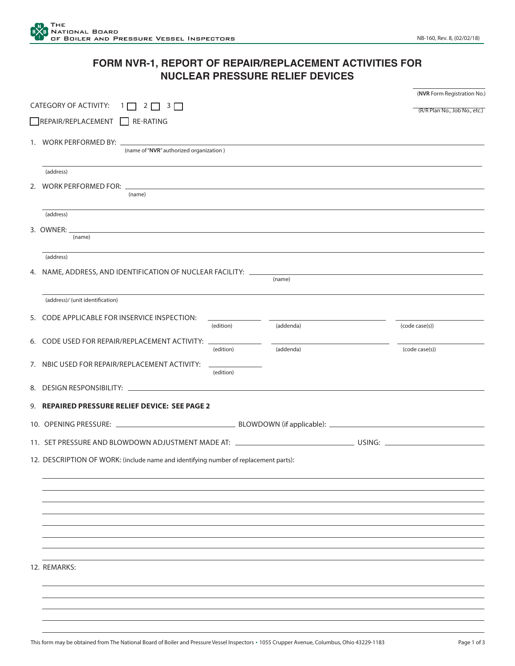## **FORM NVR-1, REPORT OF REPAIR/REPLACEMENT ACTIVITIES FOR NUCLEAR PRESSURE RELIEF DEVICES**

|  | CATEGORY OF ACTIVITY: $1 \n 2 \n 3 \n $                                                                                                         |           |           |  | (NVR Form Registration No.) |  |
|--|-------------------------------------------------------------------------------------------------------------------------------------------------|-----------|-----------|--|-----------------------------|--|
|  | (R/R Plan No., Job No., etc.)                                                                                                                   |           |           |  |                             |  |
|  | REPAIR/REPLACEMENT RE-RATING                                                                                                                    |           |           |  |                             |  |
|  | (name of "NVR" authorized organization)                                                                                                         |           |           |  |                             |  |
|  | (address)                                                                                                                                       |           |           |  |                             |  |
|  | (name)                                                                                                                                          |           |           |  |                             |  |
|  | (address)                                                                                                                                       |           |           |  |                             |  |
|  | 3. OWNER: _<br><u> 1989 - Johann Stoff, deutscher Stoffen und der Stoffen und der Stoffen und der Stoffen und der Stoffen und der</u><br>(name) |           |           |  |                             |  |
|  | (address)                                                                                                                                       |           |           |  |                             |  |
|  |                                                                                                                                                 |           | (name)    |  |                             |  |
|  | (address)/ (unit identification)                                                                                                                |           |           |  |                             |  |
|  | 5. CODE APPLICABLE FOR INSERVICE INSPECTION:                                                                                                    | (edition) | (addenda) |  | (code case(s))              |  |
|  | 6. CODE USED FOR REPAIR/REPLACEMENT ACTIVITY: ___________                                                                                       | (edition) | (addenda) |  | (code case(s))              |  |
|  | 7. NBIC USED FOR REPAIR/REPLACEMENT ACTIVITY:                                                                                                   | (edition) |           |  |                             |  |
|  |                                                                                                                                                 |           |           |  |                             |  |
|  | 9. REPAIRED PRESSURE RELIEF DEVICE: SEE PAGE 2                                                                                                  |           |           |  |                             |  |
|  |                                                                                                                                                 |           |           |  |                             |  |
|  |                                                                                                                                                 |           |           |  |                             |  |
|  | 12. DESCRIPTION OF WORK: (include name and identifying number of replacement parts):                                                            |           |           |  |                             |  |
|  |                                                                                                                                                 |           |           |  |                             |  |
|  |                                                                                                                                                 |           |           |  |                             |  |
|  |                                                                                                                                                 |           |           |  |                             |  |
|  |                                                                                                                                                 |           |           |  |                             |  |
|  |                                                                                                                                                 |           |           |  |                             |  |
|  | 12. REMARKS:                                                                                                                                    |           |           |  |                             |  |
|  |                                                                                                                                                 |           |           |  |                             |  |
|  |                                                                                                                                                 |           |           |  |                             |  |
|  |                                                                                                                                                 |           |           |  |                             |  |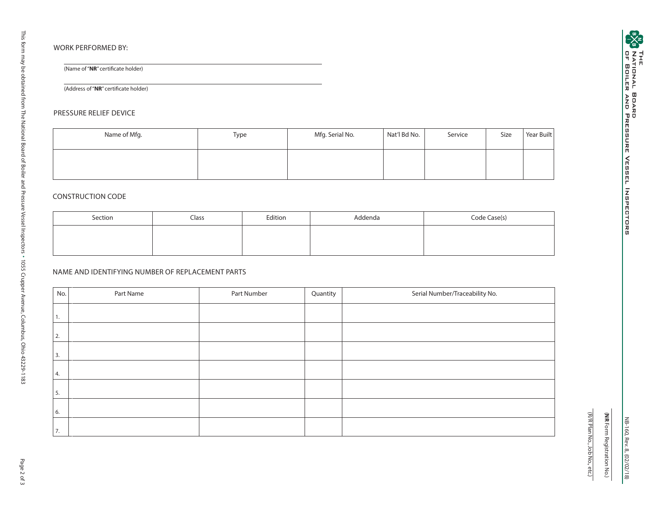(Name of "**NR**" certificate holder)

(Address of "**NR**" certificate holder)

## PRESSURE RELIEF DEVICE

| Name of Mfg. | Type | Mfg. Serial No. | Nat'l Bd No. | Service | Size | Year Built |
|--------------|------|-----------------|--------------|---------|------|------------|
|              |      |                 |              |         |      |            |

## CONSTRUCTION CODE

| Section | Class | Edition | Addenda | Code Case(s) |
|---------|-------|---------|---------|--------------|
|         |       |         |         |              |
|         |       |         |         |              |

## NAME AND IDENTIFYING NUMBER OF REPLACEMENT PARTS

| No. | Part Name | Part Number | Quantity | Serial Number/Traceability No. |
|-----|-----------|-------------|----------|--------------------------------|
| Ι.  |           |             |          |                                |
| 2.  |           |             |          |                                |
| 3.  |           |             |          |                                |
| 4.  |           |             |          |                                |
|     |           |             |          |                                |
| 5.  |           |             |          |                                |
| 6.  |           |             |          |                                |
| 7.  |           |             |          |                                |

NB-160, Rev. 8, (0 2/0 2/1 8 )

(**NR** Form Registration No.)

(R/R Plan No., Job No., etc.)

(R/R Plan No., Job No., etc.) (NR Form Registration No.)

1055 Crupper Avenue, Columbus, Ohio 43229-1183

This form may be obtained from The National Board of Boiler and Pressure Vessel Inspectors

This form may be obtained from The National Board of Boiler and Pressure Vessel Inspectors • 1055 Crupper Avenue, Columbus, Ohio 43229-1183